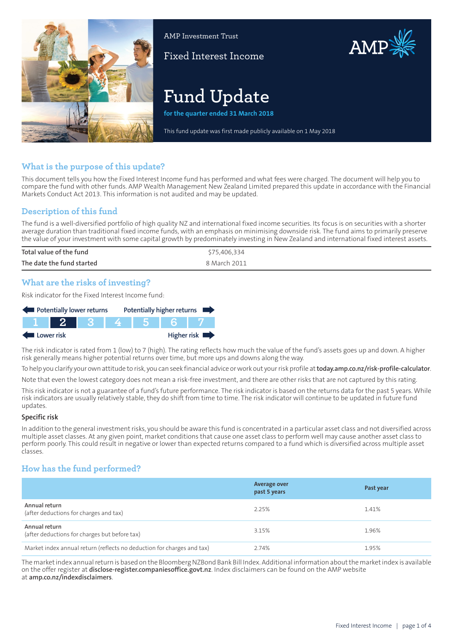

AMP Investment Trust

Fixed Interest Income

# AMP

# **Fund Update**

**for the quarter ended 31 March 2018**

This fund update was first made publicly available on 1 May 2018

# **What is the purpose of this update?**

This document tells you how the Fixed Interest Income fund has performed and what fees were charged. The document will help you to compare the fund with other funds. AMP Wealth Management New Zealand Limited prepared this update in accordance with the Financial Markets Conduct Act 2013. This information is not audited and may be updated.

# **Description of this fund**

The fund is a well-diversified portfolio of high quality NZ and international fixed income securities. Its focus is on securities with a shorter average duration than traditional fixed income funds, with an emphasis on minimising downside risk. The fund aims to primarily preserve the value of your investment with some capital growth by predominately investing in New Zealand and international fixed interest assets.

| Total value of the fund   | 75,406,334   |
|---------------------------|--------------|
| The date the fund started | 8 March 2011 |

# **What are the risks of investing?**

Risk indicator for the Fixed Interest Income fund:



The risk indicator is rated from 1 (low) to 7 (high). The rating reflects how much the value of the fund's assets goes up and down. A higher risk generally means higher potential returns over time, but more ups and downs along the way.

To help you clarify your own attitude to risk, you can seek financial advice orwork out yourrisk profile at**[today.amp.co.nz/risk-profile-calculator](http://today.amp.co.nz/risk-profile-calculator)**.

Note that even the lowest category does not mean a risk-free investment, and there are other risks that are not captured by this rating.

This risk indicator is not a guarantee of a fund's future performance. The risk indicator is based on the returns data for the past 5 years. While risk indicators are usually relatively stable, they do shift from time to time. The risk indicator will continue to be updated in future fund updates.

#### **Specific risk**

In addition to the general investmentrisks, you should be aware this fund is concentrated in a particular asset class and not diversified across multiple asset classes. At any given point, market conditions that cause one asset class to perform well may cause another asset class to perform poorly. This could result in negative or lower than expected returns compared to a fund which is diversified across multiple asset classes.

# **How has the fund performed?**

|                                                                        | Average over<br>past 5 years | Past year |
|------------------------------------------------------------------------|------------------------------|-----------|
| Annual return<br>(after deductions for charges and tax)                | 2.25%                        | 1.41%     |
| Annual return<br>(after deductions for charges but before tax)         | 3.15%                        | 1.96%     |
| Market index annual return (reflects no deduction for charges and tax) | 2.74%                        | 1.95%     |

The market index annual return is based on the Bloomberg NZBond Bank Bill Index. Additional information about the market index is available on the offer register at **[disclose-register.companiesoffice.govt.nz](https://disclose-register.companiesoffice.govt.nz/)**. Index disclaimers can be found on the AMP website at **[amp.co.nz/indexdisclaimers](http://amp.co.nz/indexdisclaimers)**.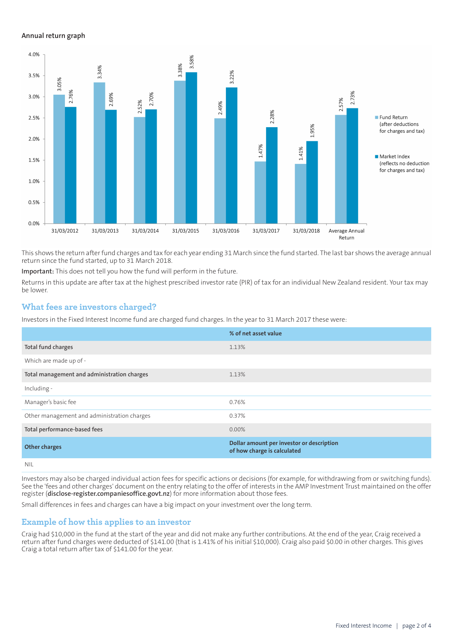#### **Annual return graph**



This shows the return afterfund charges and tax for each year ending 31 March since the fund started. The last bar shows the average annual return since the fund started, up to 31 March 2018.

**Important:** This does not tell you how the fund will perform in the future.

Returns in this update are after tax at the highest prescribed investor rate (PIR) of tax for an individual New Zealand resident. Your tax may be lower.

#### **What fees are investors charged?**

Investors in the Fixed Interest Income fund are charged fund charges. In the year to 31 March 2017 these were:

|                                             | % of net asset value                                                     |
|---------------------------------------------|--------------------------------------------------------------------------|
| Total fund charges                          | 1.13%                                                                    |
| Which are made up of -                      |                                                                          |
| Total management and administration charges | 1.13%                                                                    |
| Including -                                 |                                                                          |
| Manager's basic fee                         | 0.76%                                                                    |
| Other management and administration charges | 0.37%                                                                    |
| Total performance-based fees                | $0.00\%$                                                                 |
| <b>Other charges</b>                        | Dollar amount per investor or description<br>of how charge is calculated |
| NII                                         |                                                                          |

Investors may also be charged individual action fees for specific actions or decisions (for example, for withdrawing from or switching funds). See the 'fees and other charges' document on the entry relating to the offer of interests in the AMP Investment Trust maintained on the offer register (**[disclose-register.companiesoffice.govt.nz](https://disclose-register.companiesoffice.govt.nz/)**) for more information about those fees.

Small differences in fees and charges can have a big impact on your investment over the long term.

#### **Example of how this applies to an investor**

Craig had \$10,000 in the fund at the start of the year and did not make any further contributions. At the end of the year, Craig received a return after fund charges were deducted of \$141.00 (that is 1.41% of his initial \$10,000). Craig also paid \$0.00 in other charges. This gives Craig a total return after tax of \$141.00 for the year.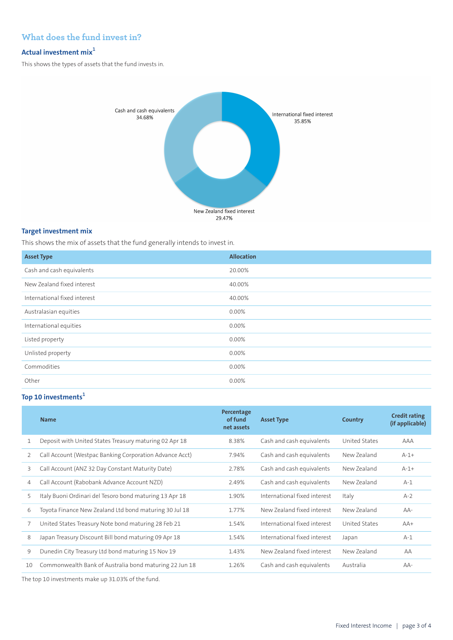# **What does the fund invest in?**

## **Actual investment mix<sup>1</sup>**

This shows the types of assets that the fund invests in.



#### **Target investment mix**

This shows the mix of assets that the fund generally intends to invest in.

| <b>Asset Type</b>            | <b>Allocation</b> |
|------------------------------|-------------------|
| Cash and cash equivalents    | 20.00%            |
| New Zealand fixed interest   | 40.00%            |
| International fixed interest | 40.00%            |
| Australasian equities        | 0.00%             |
| International equities       | 0.00%             |
| Listed property              | 0.00%             |
| Unlisted property            | 0.00%             |
| Commodities                  | 0.00%             |
| Other                        | 0.00%             |

# **Top 10 investments<sup>1</sup>**

|    | <b>Name</b>                                             | Percentage<br>of fund<br>net assets | <b>Asset Type</b>            | Country       | <b>Credit rating</b><br>(if applicable) |
|----|---------------------------------------------------------|-------------------------------------|------------------------------|---------------|-----------------------------------------|
|    | Deposit with United States Treasury maturing 02 Apr 18  | 8.38%                               | Cash and cash equivalents    | United States | AAA                                     |
| 2  | Call Account (Westpac Banking Corporation Advance Acct) | 7.94%                               | Cash and cash equivalents    | New Zealand   | $A-1+$                                  |
| 3  | Call Account (ANZ 32 Day Constant Maturity Date)        | 2.78%                               | Cash and cash equivalents    | New Zealand   | $A-1+$                                  |
| 4  | Call Account (Rabobank Advance Account NZD)             | 2.49%                               | Cash and cash equivalents    | New Zealand   | $A-1$                                   |
| 5  | Italy Buoni Ordinari del Tesoro bond maturing 13 Apr 18 | 1.90%                               | International fixed interest | Italy         | $A-2$                                   |
| 6  | Toyota Finance New Zealand Ltd bond maturing 30 Jul 18  | 1.77%                               | New Zealand fixed interest   | New Zealand   | $AA-$                                   |
|    | United States Treasury Note bond maturing 28 Feb 21     | 1.54%                               | International fixed interest | United States | $AA+$                                   |
| 8  | Japan Treasury Discount Bill bond maturing 09 Apr 18    | 1.54%                               | International fixed interest | Japan         | $A-1$                                   |
| 9  | Dunedin City Treasury Ltd bond maturing 15 Nov 19       | 1.43%                               | New Zealand fixed interest   | New Zealand   | AA                                      |
| 10 | Commonwealth Bank of Australia bond maturing 22 Jun 18  | 1.26%                               | Cash and cash equivalents    | Australia     | $AA-$                                   |

The top 10 investments make up 31.03% of the fund.